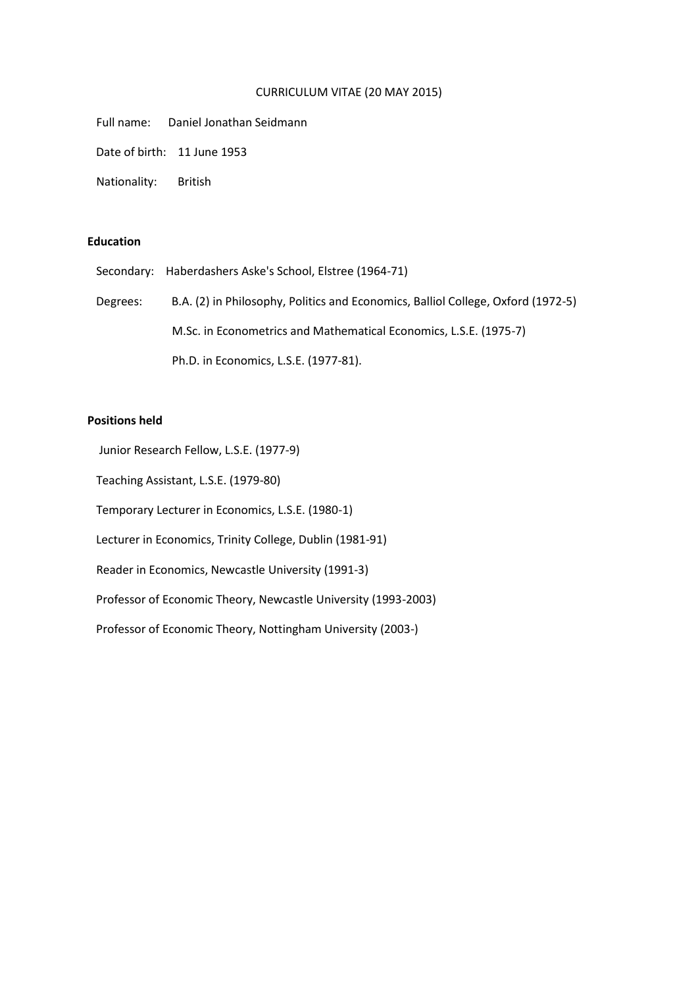## CURRICULUM VITAE (20 MAY 2015)

Full name: Daniel Jonathan Seidmann

Date of birth: 11 June 1953

Nationality: British

## **Education**

Secondary: Haberdashers Aske's School, Elstree (1964-71)

 Degrees: B.A. (2) in Philosophy, Politics and Economics, Balliol College, Oxford (1972-5) M.Sc. in Econometrics and Mathematical Economics, L.S.E. (1975-7) Ph.D. in Economics, L.S.E. (1977-81).

## **Positions held**

Junior Research Fellow, L.S.E. (1977-9)

Teaching Assistant, L.S.E. (1979-80)

Temporary Lecturer in Economics, L.S.E. (1980-1)

Lecturer in Economics, Trinity College, Dublin (1981-91)

Reader in Economics, Newcastle University (1991-3)

Professor of Economic Theory, Newcastle University (1993-2003)

Professor of Economic Theory, Nottingham University (2003-)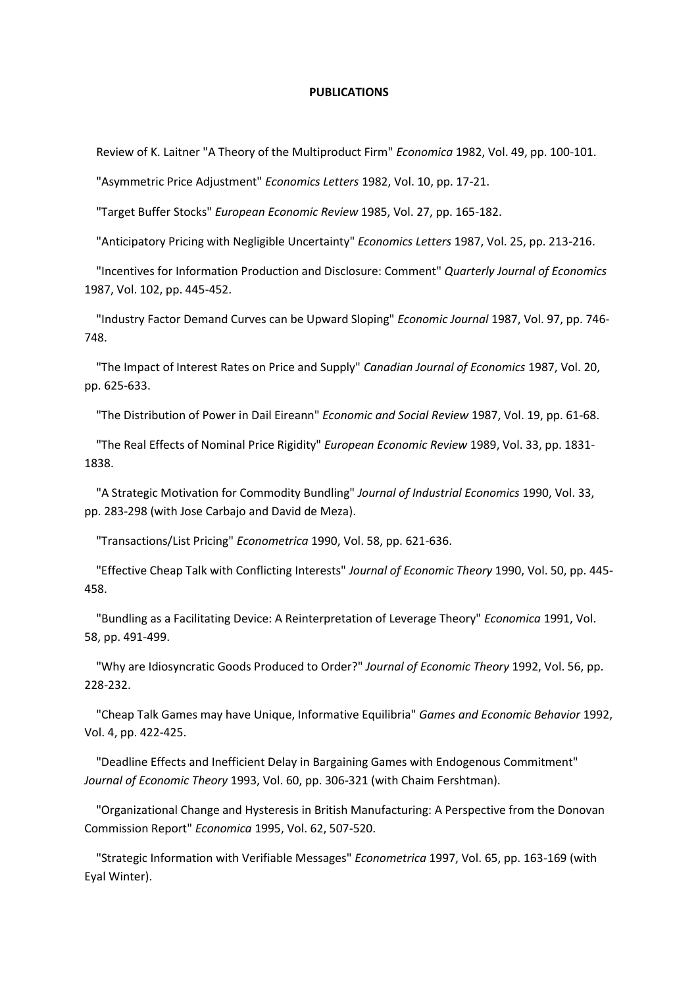## **PUBLICATIONS**

Review of K. Laitner "A Theory of the Multiproduct Firm" *Economica* 1982, Vol. 49, pp. 100-101.

"Asymmetric Price Adjustment" *Economics Letters* 1982, Vol. 10, pp. 17-21.

"Target Buffer Stocks" *European Economic Review* 1985, Vol. 27, pp. 165-182.

"Anticipatory Pricing with Negligible Uncertainty" *Economics Letters* 1987, Vol. 25, pp. 213-216.

 "Incentives for Information Production and Disclosure: Comment" *Quarterly Journal of Economics* 1987, Vol. 102, pp. 445-452.

 "Industry Factor Demand Curves can be Upward Sloping" *Economic Journal* 1987, Vol. 97, pp. 746- 748.

 "The Impact of Interest Rates on Price and Supply" *Canadian Journal of Economics* 1987, Vol. 20, pp. 625-633.

"The Distribution of Power in Dail Eireann" *Economic and Social Review* 1987, Vol. 19, pp. 61-68.

 "The Real Effects of Nominal Price Rigidity" *European Economic Review* 1989, Vol. 33, pp. 1831- 1838.

 "A Strategic Motivation for Commodity Bundling" *Journal of Industrial Economics* 1990, Vol. 33, pp. 283-298 (with Jose Carbajo and David de Meza).

"Transactions/List Pricing" *Econometrica* 1990, Vol. 58, pp. 621-636.

 "Effective Cheap Talk with Conflicting Interests" *Journal of Economic Theory* 1990, Vol. 50, pp. 445- 458.

 "Bundling as a Facilitating Device: A Reinterpretation of Leverage Theory" *Economica* 1991, Vol. 58, pp. 491-499.

 "Why are Idiosyncratic Goods Produced to Order?" *Journal of Economic Theory* 1992, Vol. 56, pp. 228-232.

 "Cheap Talk Games may have Unique, Informative Equilibria" *Games and Economic Behavior* 1992, Vol. 4, pp. 422-425.

 "Deadline Effects and Inefficient Delay in Bargaining Games with Endogenous Commitment" *Journal of Economic Theory* 1993, Vol. 60, pp. 306-321 (with Chaim Fershtman).

 "Organizational Change and Hysteresis in British Manufacturing: A Perspective from the Donovan Commission Report" *Economica* 1995, Vol. 62, 507-520.

 "Strategic Information with Verifiable Messages" *Econometrica* 1997, Vol. 65, pp. 163-169 (with Eyal Winter).